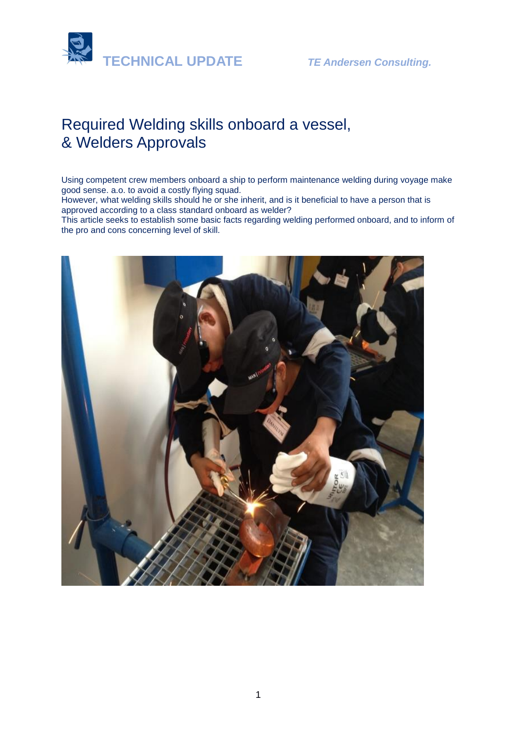



# Required Welding skills onboard a vessel, & Welders Approvals

Using competent crew members onboard a ship to perform maintenance welding during voyage make good sense. a.o. to avoid a costly flying squad.

However, what welding skills should he or she inherit, and is it beneficial to have a person that is approved according to a class standard onboard as welder?

This article seeks to establish some basic facts regarding welding performed onboard, and to inform of the pro and cons concerning level of skill.

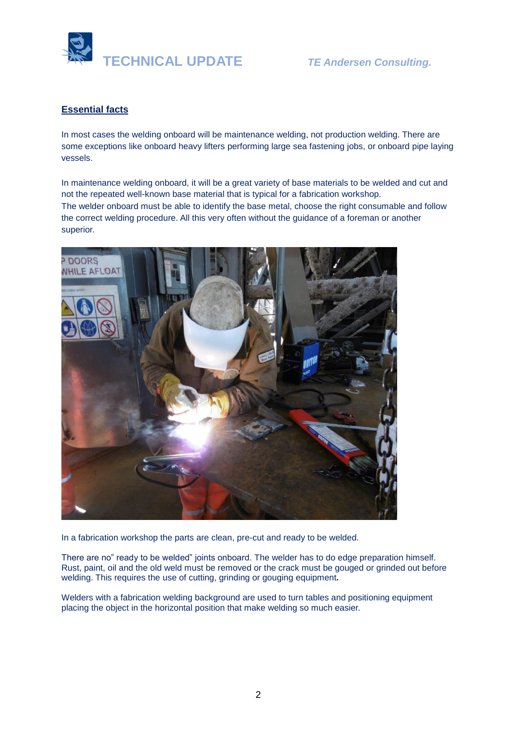

## **Essential facts**

In most cases the welding onboard will be maintenance welding, not production welding. There are some exceptions like onboard heavy lifters performing large sea fastening jobs, or onboard pipe laying vessels.

In maintenance welding onboard, it will be a great variety of base materials to be welded and cut and not the repeated well-known base material that is typical for a fabrication workshop. The welder onboard must be able to identify the base metal, choose the right consumable and follow the correct welding procedure. All this very often without the guidance of a foreman or another superior.



In a fabrication workshop the parts are clean, pre-cut and ready to be welded.

There are no" ready to be welded" joints onboard. The welder has to do edge preparation himself. Rust, paint, oil and the old weld must be removed or the crack must be gouged or grinded out before welding. This requires the use of cutting, grinding or gouging equipment**.**

Welders with a fabrication welding background are used to turn tables and positioning equipment placing the object in the horizontal position that make welding so much easier.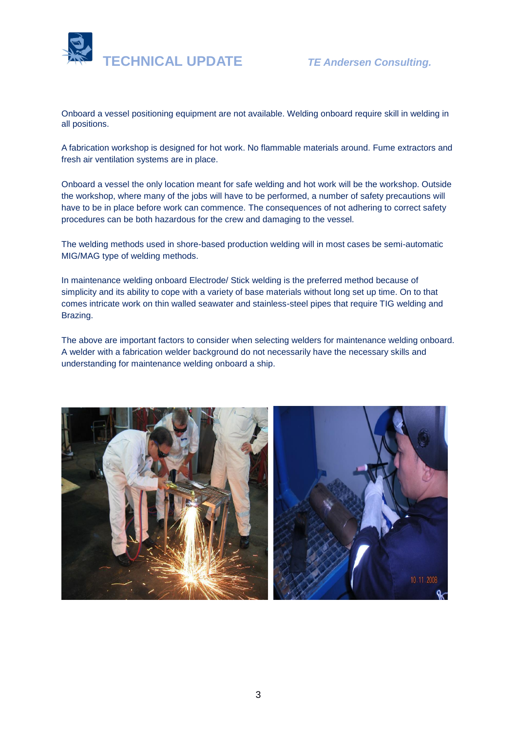

Onboard a vessel positioning equipment are not available. Welding onboard require skill in welding in all positions.

A fabrication workshop is designed for hot work. No flammable materials around. Fume extractors and fresh air ventilation systems are in place.

Onboard a vessel the only location meant for safe welding and hot work will be the workshop. Outside the workshop, where many of the jobs will have to be performed, a number of safety precautions will have to be in place before work can commence. The consequences of not adhering to correct safety procedures can be both hazardous for the crew and damaging to the vessel.

The welding methods used in shore-based production welding will in most cases be semi-automatic MIG/MAG type of welding methods.

In maintenance welding onboard Electrode/ Stick welding is the preferred method because of simplicity and its ability to cope with a variety of base materials without long set up time. On to that comes intricate work on thin walled seawater and stainless-steel pipes that require TIG welding and Brazing.

The above are important factors to consider when selecting welders for maintenance welding onboard. A welder with a fabrication welder background do not necessarily have the necessary skills and understanding for maintenance welding onboard a ship.

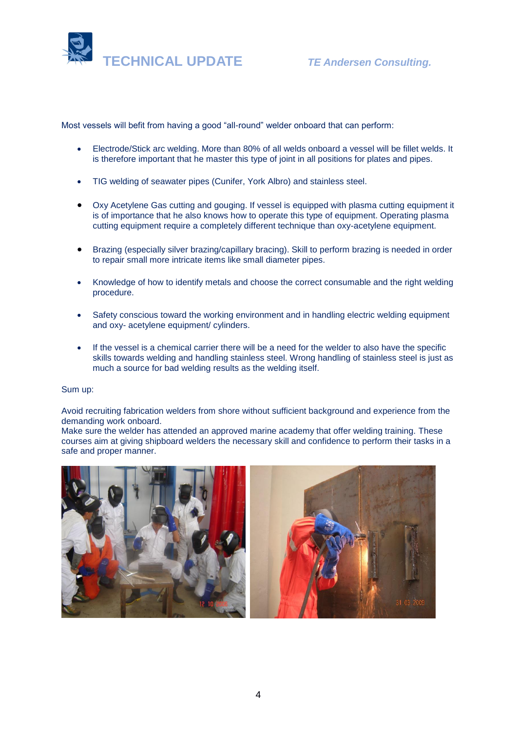

Most vessels will befit from having a good "all-round" welder onboard that can perform:

- Electrode/Stick arc welding. More than 80% of all welds onboard a vessel will be fillet welds. It is therefore important that he master this type of joint in all positions for plates and pipes.
- TIG welding of seawater pipes (Cunifer, York Albro) and stainless steel.
- Oxy Acetylene Gas cutting and gouging. If vessel is equipped with plasma cutting equipment it is of importance that he also knows how to operate this type of equipment. Operating plasma cutting equipment require a completely different technique than oxy-acetylene equipment.
- Brazing (especially silver brazing/capillary bracing). Skill to perform brazing is needed in order to repair small more intricate items like small diameter pipes.
- Knowledge of how to identify metals and choose the correct consumable and the right welding procedure.
- Safety conscious toward the working environment and in handling electric welding equipment and oxy- acetylene equipment/ cylinders.
- If the vessel is a chemical carrier there will be a need for the welder to also have the specific skills towards welding and handling stainless steel. Wrong handling of stainless steel is just as much a source for bad welding results as the welding itself.

### Sum up:

Avoid recruiting fabrication welders from shore without sufficient background and experience from the demanding work onboard.

Make sure the welder has attended an approved marine academy that offer welding training. These courses aim at giving shipboard welders the necessary skill and confidence to perform their tasks in a safe and proper manner.



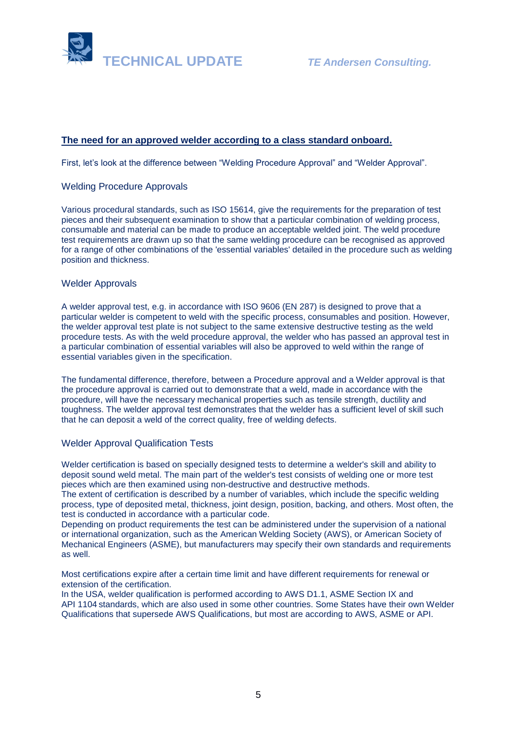

## **The need for an approved welder according to a class standard onboard.**

First, let's look at the difference between "Welding Procedure Approval" and "Welder Approval".

## Welding Procedure Approvals

Various procedural standards, such as ISO 15614, give the requirements for the preparation of test pieces and their subsequent examination to show that a particular combination of welding process, consumable and material can be made to produce an acceptable welded joint. The weld procedure test requirements are drawn up so that the same welding procedure can be recognised as approved for a range of other combinations of the 'essential variables' detailed in the procedure such as welding position and thickness.

## Welder Approvals

A welder approval test, e.g. in accordance with ISO 9606 (EN 287) is designed to prove that a particular welder is competent to weld with the specific process, consumables and position. However, the welder approval test plate is not subject to the same extensive destructive testing as the weld procedure tests. As with the weld procedure approval, the welder who has passed an approval test in a particular combination of essential variables will also be approved to weld within the range of essential variables given in the specification.

The fundamental difference, therefore, between a Procedure approval and a Welder approval is that the procedure approval is carried out to demonstrate that a weld, made in accordance with the procedure, will have the necessary mechanical properties such as tensile strength, ductility and toughness. The welder approval test demonstrates that the welder has a sufficient level of skill such that he can deposit a weld of the correct quality, free of welding defects.

### Welder Approval Qualification Tests

Welder certification is based on specially designed tests to determine a [welder'](https://en.wikipedia.org/wiki/Welder)s skill and ability to deposit sound [weld](https://en.wikipedia.org/wiki/Welding) metal. The main part of the welder's test consists of welding one or more test pieces which are then examined using [non-destructive](https://en.wikipedia.org/wiki/Nondestructive_testing) and [destructive](https://en.wikipedia.org/wiki/Destructive_testing) methods.

The extent of certification is described by a number of variables, which include the specific welding process, type of deposited metal, thickness, joint design, position, backing, and others. Most often, the test is conducted in accordance with a particular code.

Depending on product requirements the test can be administered under the supervision of a national or international organization, such as the [American Welding Society](https://en.wikipedia.org/wiki/American_Welding_Society) (AWS), or American Society of Mechanical Engineers (ASME), but manufacturers may specify their own standards and requirements as well.

Most certifications expire after a certain time limit and have different requirements for renewal or extension of the certification.

In the USA, welder qualification is performed according to AWS D1.1, ASME Section IX and [API](https://en.wikipedia.org/wiki/American_Petroleum_Institute) 1104 standards, which are also used in some other countries. Some States have their own Welder Qualifications that supersede AWS Qualifications, but most are according to AWS, ASME or API.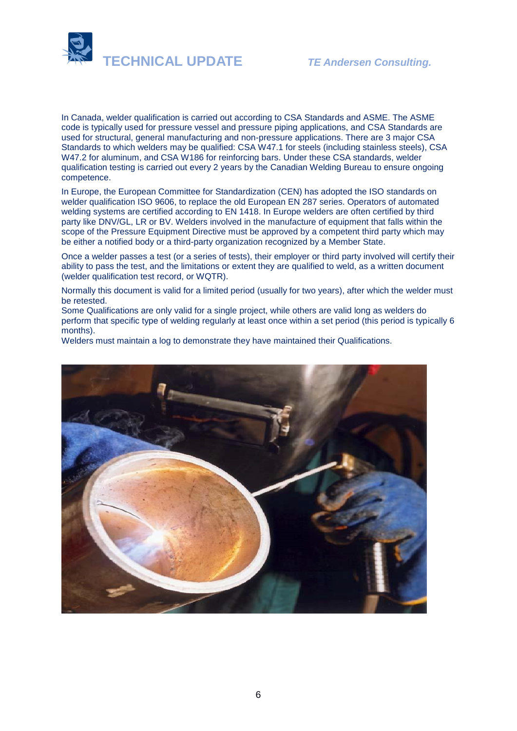

In Canada, welder qualification is carried out according to CSA Standards and ASME. The ASME code is typically used for pressure vessel and pressure piping applications, and CSA Standards are used for structural, general manufacturing and non-pressure applications. There are 3 major CSA Standards to which welders may be qualified: CSA W47.1 for steels (including stainless steels), CSA W47.2 for aluminum, and CSA W186 for reinforcing bars. Under these CSA standards, welder qualification testing is carried out every 2 years by the [Canadian Welding Bureau](https://en.wikipedia.org/wiki/Canadian_Welding_Bureau) to ensure ongoing competence.

In Europe, the [European Committee for Standardization](https://en.wikipedia.org/wiki/European_Committee_for_Standardization) (CEN) has adopted the ISO standards on welder qualification ISO 9606, to replace the old European EN 287 series. Operators of automated welding systems are certified according to EN 1418. In Europe welders are often certified by third party like DNV/GL, LR or BV. Welders involved in the manufacture of equipment that falls within the scope of the [Pressure Equipment Directive](https://en.wikipedia.org/wiki/Pressure_Equipment_Directive) must be approved by a competent third party which may be either a [notified body](https://en.wikipedia.org/wiki/Notified_body) or a third-party organization recognized by a Member State.

Once a welder passes a test (or a series of tests), their employer or third party involved will certify their ability to pass the test, and the limitations or extent they are qualified to weld, as a written document (welder qualification test record, or WQTR).

Normally this document is valid for a limited period (usually for two years), after which the welder must be retested.

Some Qualifications are only valid for a single project, while others are valid long as welders do perform that specific type of welding regularly at least once within a set period (this period is typically 6 months).

Welders must maintain a log to demonstrate they have maintained their Qualifications.

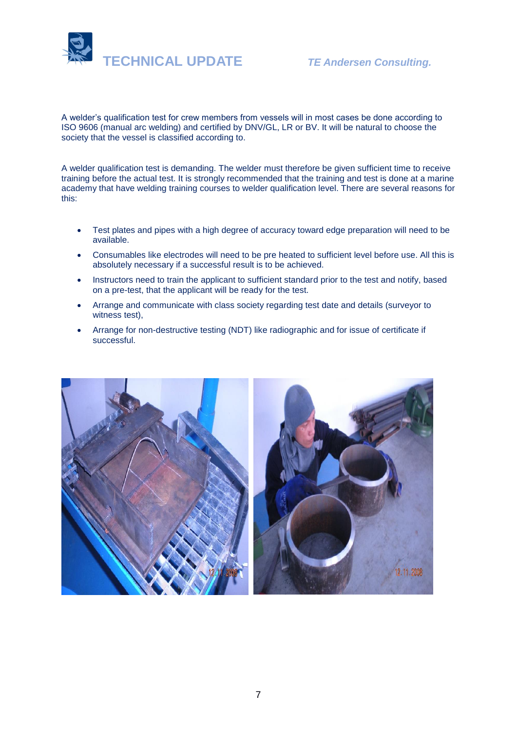

A welder's qualification test for crew members from vessels will in most cases be done according to ISO 9606 (manual arc welding) and certified by DNV/GL, LR or BV. It will be natural to choose the society that the vessel is classified according to.

A welder qualification test is demanding. The welder must therefore be given sufficient time to receive training before the actual test. It is strongly recommended that the training and test is done at a marine academy that have welding training courses to welder qualification level. There are several reasons for this:

- Test plates and pipes with a high degree of accuracy toward edge preparation will need to be available.
- Consumables like electrodes will need to be pre heated to sufficient level before use. All this is absolutely necessary if a successful result is to be achieved.
- Instructors need to train the applicant to sufficient standard prior to the test and notify, based on a pre-test, that the applicant will be ready for the test.
- Arrange and communicate with class society regarding test date and details (surveyor to witness test),
- Arrange for non-destructive testing (NDT) like radiographic and for issue of certificate if successful.

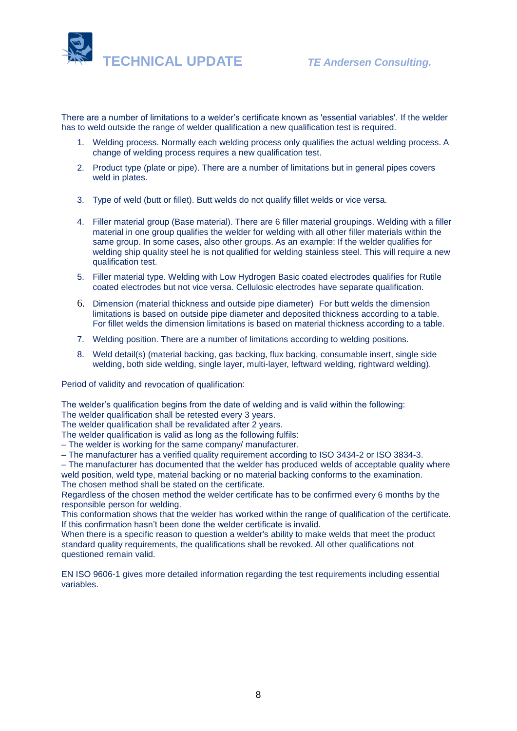

There are a number of limitations to a welder's certificate known as 'essential variables'. If the welder has to weld outside the range of welder qualification a new qualification test is required.

- 1. Welding process. Normally each welding process only qualifies the actual welding process. A change of welding process requires a new qualification test.
- 2. Product type (plate or pipe). There are a number of limitations but in general pipes covers weld in plates.
- 3. Type of weld (butt or fillet). Butt welds do not qualify fillet welds or vice versa.
- 4. Filler material group (Base material). There are 6 filler material groupings. Welding with a filler material in one group qualifies the welder for welding with all other filler materials within the same group. In some cases, also other groups. As an example: If the welder qualifies for welding ship quality steel he is not qualified for welding stainless steel. This will require a new qualification test.
- 5. Filler material type. Welding with Low Hydrogen Basic coated electrodes qualifies for Rutile coated electrodes but not vice versa. Cellulosic electrodes have separate qualification.
- 6. Dimension (material thickness and outside pipe diameter) For butt welds the dimension limitations is based on outside pipe diameter and deposited thickness according to a table. For fillet welds the dimension limitations is based on material thickness according to a table.
- 7. Welding position. There are a number of limitations according to welding positions.
- 8. Weld detail(s) (material backing, gas backing, flux backing, consumable insert, single side welding, both side welding, single layer, multi-layer, leftward welding, rightward welding).

Period of validity and revocation of qualification:

The welder's qualification begins from the date of welding and is valid within the following:

The welder qualification shall be retested every 3 years.

The welder qualification shall be revalidated after 2 years.

The welder qualification is valid as long as the following fulfils:

– The welder is working for the same company/ manufacturer.

– The manufacturer has a verified quality requirement according to ISO 3434-2 or ISO 3834-3.

– The manufacturer has documented that the welder has produced welds of acceptable quality where weld position, weld type, material backing or no material backing conforms to the examination. The chosen method shall be stated on the certificate.

Regardless of the chosen method the welder certificate has to be confirmed every 6 months by the responsible person for welding.

This conformation shows that the welder has worked within the range of qualification of the certificate. If this confirmation hasn't been done the welder certificate is invalid.

When there is a specific reason to question a welder's ability to make welds that meet the product standard quality requirements, the qualifications shall be revoked. All other qualifications not questioned remain valid.

EN ISO 9606-1 gives more detailed information regarding the test requirements including essential variables.